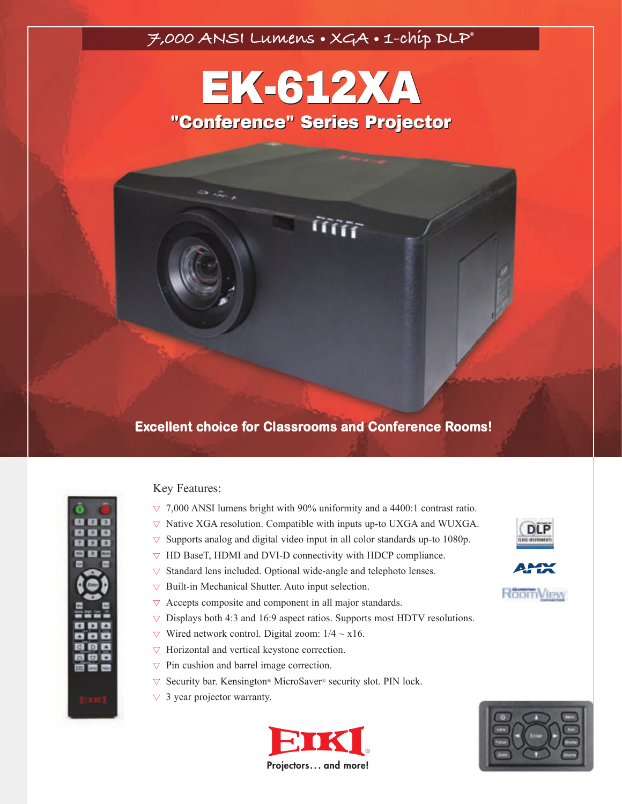## **7,000 ANSI Lumens • XGA • 1-chip DLP®**

# EK-612XA EK-612XA "Conference" Series Projector "Conference" Series Projector

lím

## **Excellent choice for Classrooms and Conference Rooms!**



Key Features:

- **▼** 7,000 ANSI lumens bright with 90% uniformity and a 4400:1 contrast ratio.
- **▼** Native XGA resolution. Compatible with inputs up-to UXGA and WUXGA.
- **▼** Supports analog and digital video input in all color standards up-to 1080p.
- **▼** HD BaseT, HDMI and DVI-D connectivity with HDCP compliance.
- **▼** Standard lens included. Optional wide-angle and telephoto lenses.
- **▼** Built-in Mechanical Shutter. Auto input selection.
- **▼** Accepts composite and component in all major standards.
- **▼** Displays both 4:3 and 16:9 aspect ratios. Supports most HDTV resolutions.
- $\nabla$  Wired network control. Digital zoom:  $1/4 \sim x16$ .
- **▼** Horizontal and vertical keystone correction.
- **▼** Pin cushion and barrel image correction.
- **▼** Security bar. Kensington® MicroSaver® security slot. PIN lock.
- **▼** 3 year projector warranty.